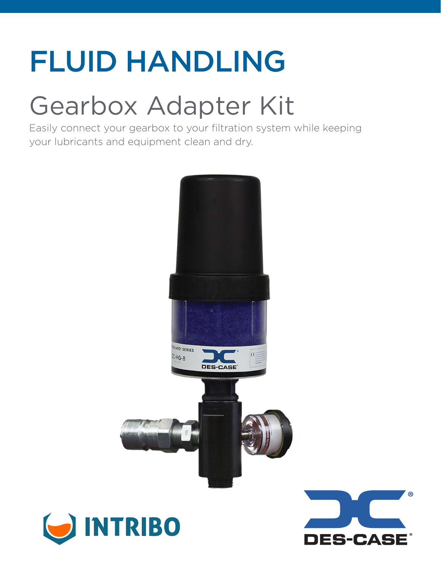# FLUID HANDLING

# Gearbox Adapter Kit

 $\blacksquare$ 

Easily connect your gearbox to your filtration system while keeping your lubricants and equipment clean and dry.

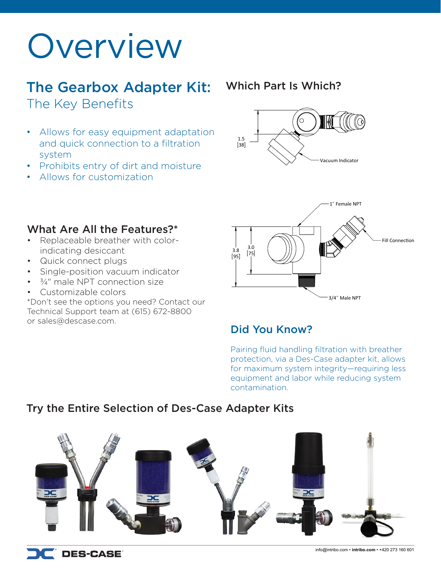# Overview

## The Gearbox Adapter Kit: The Key Benefits

- Allows for easy equipment adaptation and quick connection to a filtration system
- Prohibits entry of dirt and moisture
- Allows for customization

### Which Part Is Which?





### What Are All the Features?\*

- Replaceable breather with colorindicating desiccant
- Quick connect plugs
- Single-position vacuum indicator
- $\cdot$   $\frac{3}{4}$ " male NPT connection size
- Customizable colors

\*Don't see the options you need? Contact our Technical Support team at (615) 672-8800 or sales@descase.com.

## Did You Know?

Pairing fluid handling filtration with breather protection, via a Des-Case adapter kit, allows for maximum system integrity—requiring less equipment and labor while reducing system contamination.

## Try the Entire Selection of Des-Case Adapter Kits